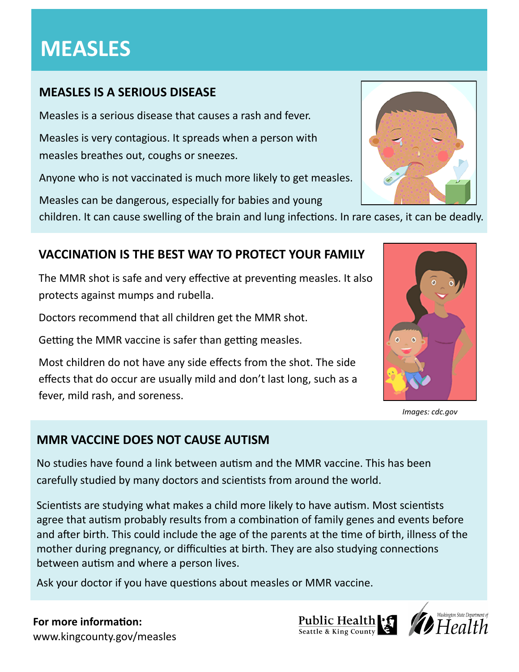# **MEASLES**

# **MEASLES IS A SERIOUS DISEASE**

Measles is a serious disease that causes a rash and fever.

Measles is very contagious. It spreads when a person with measles breathes out, coughs or sneezes.

Anyone who is not vaccinated is much more likely to get measles.

Measles can be dangerous, especially for babies and young

children. It can cause swelling of the brain and lung infections. In rare cases, it can be deadly.

# **VACCINATION IS THE BEST WAY TO PROTECT YOUR FAMILY**

The MMR shot is safe and very effective at preventing measles. It also protects against mumps and rubella.

Doctors recommend that all children get the MMR shot.

Getting the MMR vaccine is safer than getting measles.

Most children do not have any side effects from the shot. The side effects that do occur are usually mild and don't last long, such as a fever, mild rash, and soreness.

# **MMR VACCINE DOES NOT CAUSE AUTISM**

No studies have found a link between autism and the MMR vaccine. This has been carefully studied by many doctors and scientists from around the world.

Scientists are studying what makes a child more likely to have autism. Most scientists agree that autism probably results from a combination of family genes and events before and after birth. This could include the age of the parents at the time of birth, illness of the mother during pregnancy, or difficulties at birth. They are also studying connections between autism and where a person lives.

Ask your doctor if you have questions about measles or MMR vaccine.

#### **For more information:** www.kingcounty.gov/measles





*Images: cdc.gov*